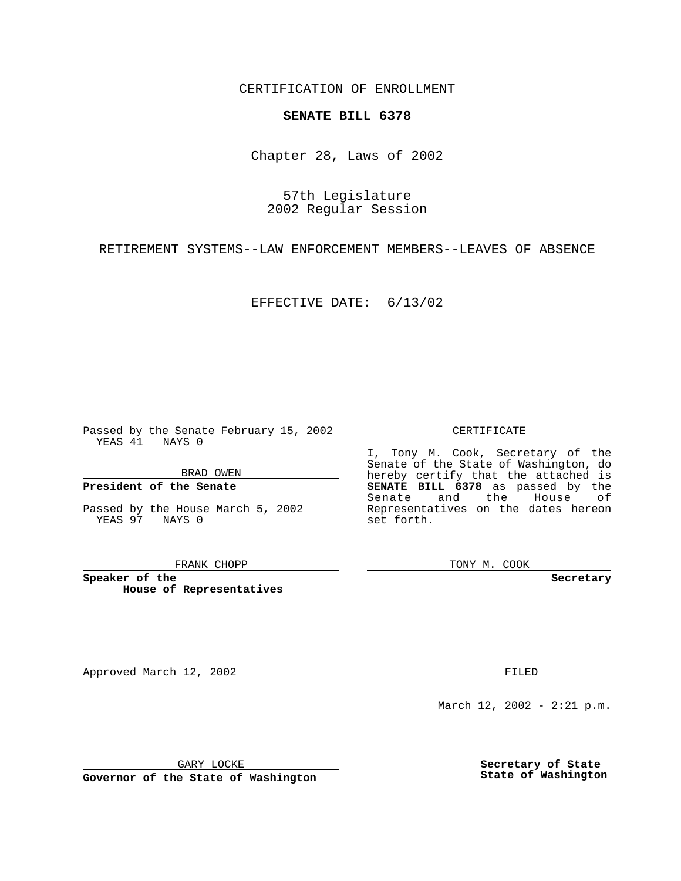CERTIFICATION OF ENROLLMENT

# **SENATE BILL 6378**

Chapter 28, Laws of 2002

57th Legislature 2002 Regular Session

RETIREMENT SYSTEMS--LAW ENFORCEMENT MEMBERS--LEAVES OF ABSENCE

EFFECTIVE DATE: 6/13/02

Passed by the Senate February 15, 2002 YEAS 41 NAYS 0

BRAD OWEN

### **President of the Senate**

Passed by the House March 5, 2002 YEAS 97 NAYS 0

#### FRANK CHOPP

**Speaker of the House of Representatives**

Approved March 12, 2002 **FILED** 

### CERTIFICATE

I, Tony M. Cook, Secretary of the Senate of the State of Washington, do hereby certify that the attached is **SENATE BILL 6378** as passed by the Senate and the House of Representatives on the dates hereon set forth.

TONY M. COOK

**Secretary**

March 12, 2002 - 2:21 p.m.

GARY LOCKE

**Governor of the State of Washington**

**Secretary of State State of Washington**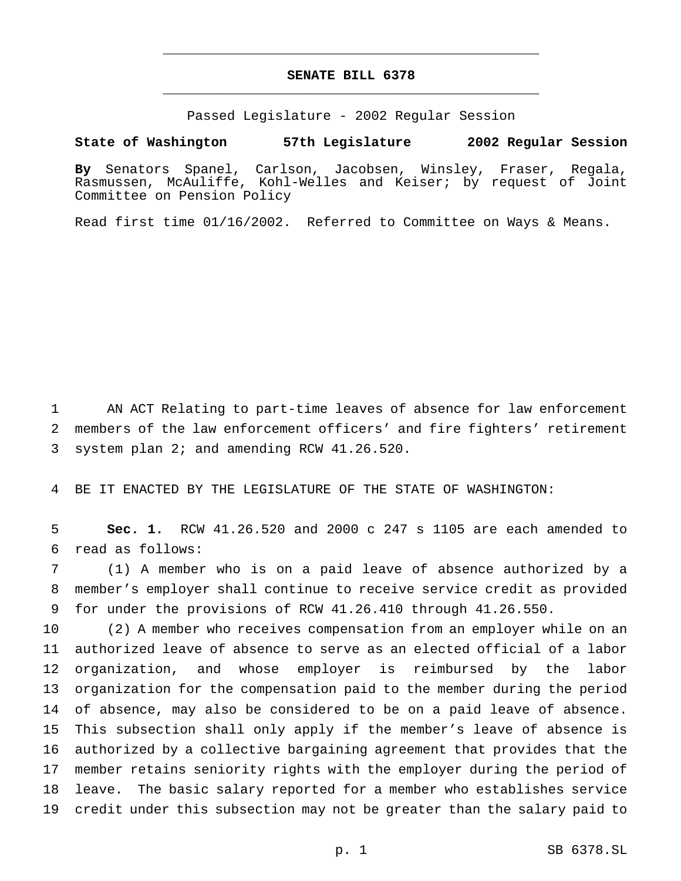# **SENATE BILL 6378** \_\_\_\_\_\_\_\_\_\_\_\_\_\_\_\_\_\_\_\_\_\_\_\_\_\_\_\_\_\_\_\_\_\_\_\_\_\_\_\_\_\_\_\_\_\_\_

\_\_\_\_\_\_\_\_\_\_\_\_\_\_\_\_\_\_\_\_\_\_\_\_\_\_\_\_\_\_\_\_\_\_\_\_\_\_\_\_\_\_\_\_\_\_\_

Passed Legislature - 2002 Regular Session

**State of Washington 57th Legislature 2002 Regular Session**

**By** Senators Spanel, Carlson, Jacobsen, Winsley, Fraser, Regala, Rasmussen, McAuliffe, Kohl-Welles and Keiser; by request of Joint Committee on Pension Policy

Read first time 01/16/2002. Referred to Committee on Ways & Means.

 AN ACT Relating to part-time leaves of absence for law enforcement members of the law enforcement officers' and fire fighters' retirement system plan 2; and amending RCW 41.26.520.

BE IT ENACTED BY THE LEGISLATURE OF THE STATE OF WASHINGTON:

 **Sec. 1.** RCW 41.26.520 and 2000 c 247 s 1105 are each amended to read as follows:

 (1) A member who is on a paid leave of absence authorized by a member's employer shall continue to receive service credit as provided for under the provisions of RCW 41.26.410 through 41.26.550.

 (2) A member who receives compensation from an employer while on an authorized leave of absence to serve as an elected official of a labor organization, and whose employer is reimbursed by the labor organization for the compensation paid to the member during the period of absence, may also be considered to be on a paid leave of absence. This subsection shall only apply if the member's leave of absence is authorized by a collective bargaining agreement that provides that the member retains seniority rights with the employer during the period of leave. The basic salary reported for a member who establishes service credit under this subsection may not be greater than the salary paid to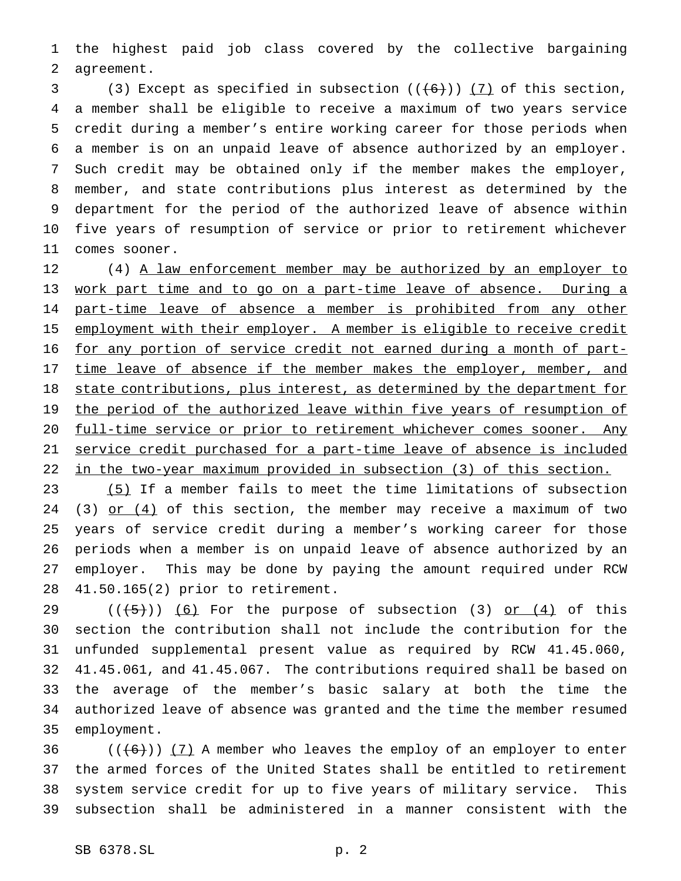the highest paid job class covered by the collective bargaining agreement.

3 (3) Except as specified in subsection  $((+6))$  (7) of this section, a member shall be eligible to receive a maximum of two years service credit during a member's entire working career for those periods when a member is on an unpaid leave of absence authorized by an employer. Such credit may be obtained only if the member makes the employer, member, and state contributions plus interest as determined by the department for the period of the authorized leave of absence within five years of resumption of service or prior to retirement whichever comes sooner.

12 (4) A law enforcement member may be authorized by an employer to work part time and to go on a part-time leave of absence. During a 14 part-time leave of absence a member is prohibited from any other 15 employment with their employer. A member is eligible to receive credit for any portion of service credit not earned during a month of part-17 time leave of absence if the member makes the employer, member, and 18 state contributions, plus interest, as determined by the department for 19 the period of the authorized leave within five years of resumption of full-time service or prior to retirement whichever comes sooner. Any service credit purchased for a part-time leave of absence is included in the two-year maximum provided in subsection (3) of this section.

23 (5) If a member fails to meet the time limitations of subsection 24 (3) or  $(4)$  of this section, the member may receive a maximum of two years of service credit during a member's working career for those periods when a member is on unpaid leave of absence authorized by an employer. This may be done by paying the amount required under RCW 41.50.165(2) prior to retirement.

 $((+5))$   $(6)$  For the purpose of subsection (3) or  $(4)$  of this section the contribution shall not include the contribution for the unfunded supplemental present value as required by RCW 41.45.060, 41.45.061, and 41.45.067. The contributions required shall be based on the average of the member's basic salary at both the time the authorized leave of absence was granted and the time the member resumed employment.

 $((+6))$   $(7)$  A member who leaves the employ of an employer to enter the armed forces of the United States shall be entitled to retirement system service credit for up to five years of military service. This subsection shall be administered in a manner consistent with the